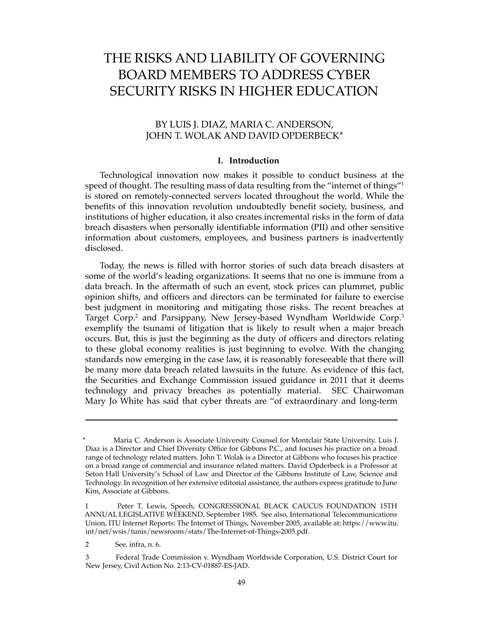# THE RISKS AND LIABILITY OF GOVERNING BOARD MEMBERS TO ADDRESS CYBER SECURITY RISKS IN HIGHER EDUCATION

## BY LUIS J. DIAZ, MARIA C. ANDERSON, JOHN T. WOLAK AND DAVID OPDERBECK\*

#### **I. Introduction**

Technological innovation now makes it possible to conduct business at the speed of thought. The resulting mass of data resulting from the "internet of things"<sup>1</sup> is stored on remotely-connected servers located throughout the world. While the benefits of this innovation revolution undoubtedly benefit society, business, and institutions of higher education, it also creates incremental risks in the form of data breach disasters when personally identifiable information (PII) and other sensitive information about customers, employees, and business partners is inadvertently disclosed.

Today, the news is filled with horror stories of such data breach disasters at some of the world's leading organizations. It seems that no one is immune from a data breach. In the aftermath of such an event, stock prices can plummet, public opinion shifts, and officers and directors can be terminated for failure to exercise best judgment in monitoring and mitigating those risks. The recent breaches at Target Corp.<sup>2</sup> and Parsippany, New Jersey-based Wyndham Worldwide Corp.<sup>3</sup> exemplify the tsunami of litigation that is likely to result when a major breach occurs. But, this is just the beginning as the duty of officers and directors relating to these global economy realities is just beginning to evolve. With the changing standards now emerging in the case law, it is reasonably foreseeable that there will be many more data breach related lawsuits in the future. As evidence of this fact, the Securities and Exchange Commission issued guidance in 2011 that it deems technology and privacy breaches as potentially material. SEC Chairwoman Mary Jo White has said that cyber threats are "of extraordinary and long-term

Maria C. Anderson is Associate University Counsel for Montclair State University. Luis J. Diaz is a Director and Chief Diversity Office for Gibbons P.C., and focuses his practice on a broad range of technology related matters. John T. Wolak is a Director at Gibbons who focuses his practice on a broad range of commercial and insurance related matters. David Opderbeck is a Professor at Seton Hall University's School of Law and Director of the Gibbons Institute of Law, Science and Technology. In recognition of her extensive editorial assistance, the authors express gratitude to June Kim, Associate at Gibbons.

<sup>1</sup> Peter T. Lewis, Speech, CONGRESSIONAL BLACK CAUCUS FOUNDATION 15TH ANNUAL LEGISLATIVE WEEKEND, September 1985. See also, International Telecommunications Union, ITU Internet Reports: The Internet of Things, November 2005, available at: https://www.itu. int/net/wsis/tunis/newsroom/stats/The-Internet-of-Things-2005.pdf.

<sup>2</sup> See, infra, n. 6.

<sup>3</sup> Federal Trade Commission v. Wyndham Worldwide Corporation, U.S. District Court for New Jersey, Civil Action No. 2:13-CV-01887-ES-JAD.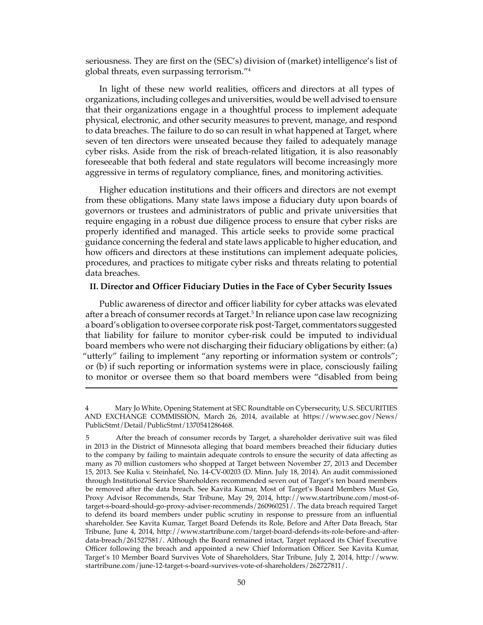seriousness. They are first on the (SEC's) division of (market) intelligence's list of global threats, even surpassing terrorism."<sup>4</sup>

In light of these new world realities, officers and directors at all types of organizations, including colleges and universities, would be well advised to ensure that their organizations engage in a thoughtful process to implement adequate physical, electronic, and other security measures to prevent, manage, and respond to data breaches. The failure to do so can result in what happened at Target, where seven of ten directors were unseated because they failed to adequately manage cyber risks. Aside from the risk of breach-related litigation, it is also reasonably foreseeable that both federal and state regulators will become increasingly more aggressive in terms of regulatory compliance, fines, and monitoring activities.

Higher education institutions and their officers and directors are not exempt from these obligations. Many state laws impose a fiduciary duty upon boards of governors or trustees and administrators of public and private universities that require engaging in a robust due diligence process to ensure that cyber risks are properly identified and managed. This article seeks to provide some practical guidance concerning the federal and state laws applicable to higher education, and how officers and directors at these institutions can implement adequate policies, procedures, and practices to mitigate cyber risks and threats relating to potential data breaches.

## **II. Director and Officer Fiduciary Duties in the Face of Cyber Security Issues**

Public awareness of director and officer liability for cyber attacks was elevated after a breach of consumer records at Target.<sup>5</sup> In reliance upon case law recognizing a board's obligation to oversee corporate risk post-Target, commentators suggested that liability for failure to monitor cyber-risk could be imputed to individual board members who were not discharging their fiduciary obligations by either: (a) "utterly" failing to implement "any reporting or information system or controls"; or (b) if such reporting or information systems were in place, consciously failing to monitor or oversee them so that board members were "disabled from being

<sup>4</sup> Mary Jo White, Opening Statement at SEC Roundtable on Cybersecurity, U.S. SECURITIES AND EXCHANGE COMMISSION, March 26, 2014, available at https://www.sec.gov/News/ PublicStmt/Detail/PublicStmt/1370541286468.

<sup>5</sup> After the breach of consumer records by Target, a shareholder derivative suit was filed in 2013 in the District of Minnesota alleging that board members breached their fiduciary duties to the company by failing to maintain adequate controls to ensure the security of data affecting as many as 70 million customers who shopped at Target between November 27, 2013 and December 15, 2013. See Kulia v. Steinhafel, No. 14-CV-00203 (D. Minn. July 18, 2014). An audit commissioned through Institutional Service Shareholders recommended seven out of Target's ten board members be removed after the data breach. See Kavita Kumar, Most of Target's Board Members Must Go, Proxy Advisor Recommends, Star Tribune, May 29, 2014, http://www.startribune.com/most-oftarget-s-board-should-go-proxy-adviser-recommends/260960251/. The data breach required Target to defend its board members under public scrutiny in response to pressure from an influential shareholder. See Kavita Kumar, Target Board Defends its Role, Before and After Data Breach, Star Tribune, June 4, 2014, http://www.startribune.com/target-board-defends-its-role-before-and-afterdata-breach/261527581/. Although the Board remained intact, Target replaced its Chief Executive Officer following the breach and appointed a new Chief Information Officer. See Kavita Kumar, Target's 10 Member Board Survives Vote of Shareholders, Star Tribune, July 2, 2014, http://www. startribune.com/june-12-target-s-board-survives-vote-of-shareholders/262727811/.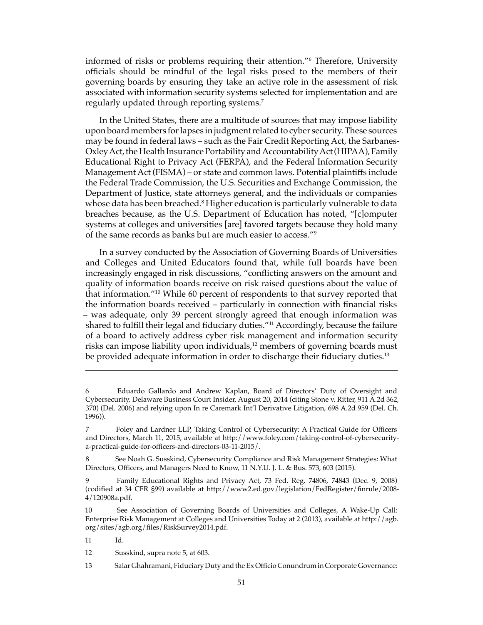informed of risks or problems requiring their attention."<sup>6</sup> Therefore, University officials should be mindful of the legal risks posed to the members of their governing boards by ensuring they take an active role in the assessment of risk associated with information security systems selected for implementation and are regularly updated through reporting systems.<sup>7</sup>

In the United States, there are a multitude of sources that may impose liability upon board members for lapses in judgment related to cyber security. These sources may be found in federal laws – such as the Fair Credit Reporting Act, the Sarbanes-Oxley Act, the Health Insurance Portability and Accountability Act (HIPAA), Family Educational Right to Privacy Act (FERPA), and the Federal Information Security Management Act (FISMA) – or state and common laws. Potential plaintiffs include the Federal Trade Commission, the U.S. Securities and Exchange Commission, the Department of Justice, state attorneys general, and the individuals or companies whose data has been breached.<sup>8</sup> Higher education is particularly vulnerable to data breaches because, as the U.S. Department of Education has noted, "[c]omputer systems at colleges and universities [are] favored targets because they hold many of the same records as banks but are much easier to access."9

In a survey conducted by the Association of Governing Boards of Universities and Colleges and United Educators found that, while full boards have been increasingly engaged in risk discussions, "conflicting answers on the amount and quality of information boards receive on risk raised questions about the value of that information."10 While 60 percent of respondents to that survey reported that the information boards received – particularly in connection with financial risks – was adequate, only 39 percent strongly agreed that enough information was shared to fulfill their legal and fiduciary duties."<sup>11</sup> Accordingly, because the failure of a board to actively address cyber risk management and information security risks can impose liability upon individuals,<sup>12</sup> members of governing boards must be provided adequate information in order to discharge their fiduciary duties.<sup>13</sup>

<sup>6</sup> Eduardo Gallardo and Andrew Kaplan, Board of Directors' Duty of Oversight and Cybersecurity, Delaware Business Court Insider, August 20, 2014 (citing Stone v. Ritter, 911 A.2d 362, 370) (Del. 2006) and relying upon In re Caremark Int'l Derivative Litigation, 698 A.2d 959 (Del. Ch. 1996)).

<sup>7</sup> Foley and Lardner LLP, Taking Control of Cybersecurity: A Practical Guide for Officers and Directors, March 11, 2015, available at http://www.foley.com/taking-control-of-cybersecuritya-practical-guide-for-officers-and-directors-03-11-2015/.

<sup>8</sup> See Noah G. Susskind, Cybersecurity Compliance and Risk Management Strategies: What Directors, Officers, and Managers Need to Know, 11 N.Y.U. J. L. & Bus. 573, 603 (2015).

<sup>9</sup> Family Educational Rights and Privacy Act, 73 Fed. Reg. 74806, 74843 (Dec. 9, 2008) (codified at 34 CFR §99) available at http://www2.ed.gov/legislation/FedRegister/finrule/2008- 4/120908a.pdf.

<sup>10</sup> See Association of Governing Boards of Universities and Colleges, A Wake-Up Call: Enterprise Risk Management at Colleges and Universities Today at 2 (2013), available at http://agb. org/sites/agb.org/files/RiskSurvey2014.pdf.

<sup>11</sup> Id.

<sup>12</sup> Susskind, supra note 5, at 603.

<sup>13</sup> Salar Ghahramani, Fiduciary Duty and the Ex Officio Conundrum in Corporate Governance: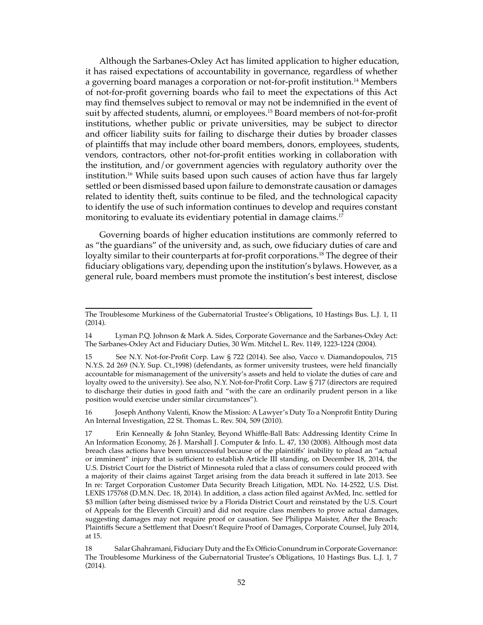Although the Sarbanes-Oxley Act has limited application to higher education, it has raised expectations of accountability in governance, regardless of whether a governing board manages a corporation or not-for-profit institution.<sup>14</sup> Members of not-for-profit governing boards who fail to meet the expectations of this Act may find themselves subject to removal or may not be indemnified in the event of suit by affected students, alumni, or employees.<sup>15</sup> Board members of not-for-profit institutions, whether public or private universities, may be subject to director and officer liability suits for failing to discharge their duties by broader classes of plaintiffs that may include other board members, donors, employees, students, vendors, contractors, other not-for-profit entities working in collaboration with the institution, and/or government agencies with regulatory authority over the institution.<sup>16</sup> While suits based upon such causes of action have thus far largely settled or been dismissed based upon failure to demonstrate causation or damages related to identity theft, suits continue to be filed, and the technological capacity to identify the use of such information continues to develop and requires constant monitoring to evaluate its evidentiary potential in damage claims.<sup>17</sup>

Governing boards of higher education institutions are commonly referred to as "the guardians" of the university and, as such, owe fiduciary duties of care and loyalty similar to their counterparts at for-profit corporations.<sup>18</sup> The degree of their fiduciary obligations vary, depending upon the institution's bylaws. However, as a general rule, board members must promote the institution's best interest, disclose

16 Joseph Anthony Valenti, Know the Mission: A Lawyer's Duty To a Nonprofit Entity During An Internal Investigation, 22 St. Thomas L. Rev. 504, 509 (2010).

The Troublesome Murkiness of the Gubernatorial Trustee's Obligations, 10 Hastings Bus. L.J. 1, 11 (2014).

<sup>14</sup> Lyman P.Q. Johnson & Mark A. Sides, Corporate Governance and the Sarbanes-Oxley Act: The Sarbanes-Oxley Act and Fiduciary Duties, 30 Wm. Mitchel L. Rev. 1149, 1223-1224 (2004).

<sup>15</sup> See N.Y. Not-for-Profit Corp. Law § 722 (2014). See also, Vacco v. Diamandopoulos, 715 N.Y.S. 2d 269 (N.Y. Sup. Ct.,1998) (defendants, as former university trustees, were held financially accountable for mismanagement of the university's assets and held to violate the duties of care and loyalty owed to the university). See also, N.Y. Not-for-Profit Corp. Law § 717 (directors are required to discharge their duties in good faith and "with the care an ordinarily prudent person in a like position would exercise under similar circumstances").

<sup>17</sup> Erin Kenneally & John Stanley, Beyond Whiffle-Ball Bats: Addressing Identity Crime In An Information Economy, 26 J. Marshall J. Computer & Info. L. 47, 130 (2008). Although most data breach class actions have been unsuccessful because of the plaintiffs' inability to plead an "actual or imminent" injury that is sufficient to establish Article III standing, on December 18, 2014, the U.S. District Court for the District of Minnesota ruled that a class of consumers could proceed with a majority of their claims against Target arising from the data breach it suffered in late 2013. See In re: Target Corporation Customer Data Security Breach Litigation, MDL No. 14-2522, U.S. Dist. LEXIS 175768 (D.M.N. Dec. 18, 2014). In addition, a class action filed against AvMed, Inc. settled for \$3 million (after being dismissed twice by a Florida District Court and reinstated by the U.S. Court of Appeals for the Eleventh Circuit) and did not require class members to prove actual damages, suggesting damages may not require proof or causation. See Philippa Maister, After the Breach: Plaintiffs Secure a Settlement that Doesn't Require Proof of Damages, Corporate Counsel, July 2014, at 15.

<sup>18</sup> Salar Ghahramani, Fiduciary Duty and the Ex Officio Conundrum in Corporate Governance: The Troublesome Murkiness of the Gubernatorial Trustee's Obligations, 10 Hastings Bus. L.J. 1, 7 (2014).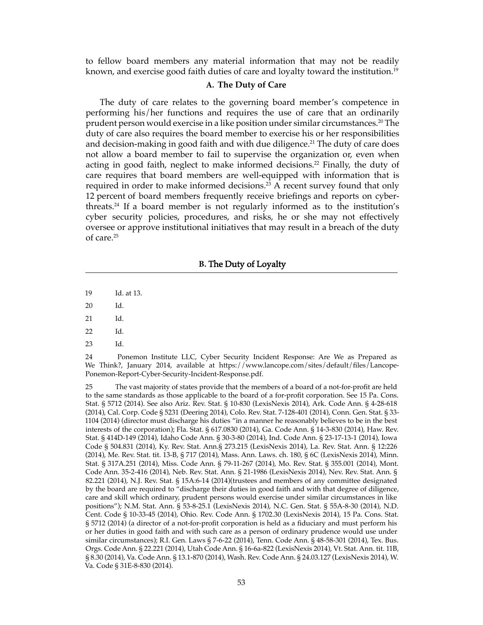to fellow board members any material information that may not be readily known, and exercise good faith duties of care and loyalty toward the institution.<sup>19</sup>

## **A. The Duty of Care**

The duty of care relates to the governing board member's competence in performing his/her functions and requires the use of care that an ordinarily prudent person would exercise in a like position under similar circumstances.<sup>20</sup> The duty of care also requires the board member to exercise his or her responsibilities and decision-making in good faith and with due diligence.<sup>21</sup> The duty of care does not allow a board member to fail to supervise the organization or, even when acting in good faith, neglect to make informed decisions.<sup>22</sup> Finally, the duty of care requires that board members are well-equipped with information that is required in order to make informed decisions.<sup>23</sup> A recent survey found that only 12 percent of board members frequently receive briefings and reports on cyberthreats.<sup>24</sup> If a board member is not regularly informed as to the institution's cyber security policies, procedures, and risks, he or she may not effectively oversee or approve institutional initiatives that may result in a breach of the duty of care.<sup>25</sup>

## **B.** The Duty of Loyalty

- 19 Id. at 13.
- 20 Id.
- 21 Id.
- 22 Id.
- 23 Id.

24 Ponemon Institute LLC, Cyber Security Incident Response: Are We as Prepared as We Think?, January 2014, available at https://www.lancope.com/sites/default/files/Lancope-Ponemon-Report-Cyber-Security-Incident-Response.pdf.

25 The vast majority of states provide that the members of a board of a not-for-profit are held to the same standards as those applicable to the board of a for-profit corporation. See 15 Pa. Cons. Stat. § 5712 (2014). See also Ariz. Rev. Stat. § 10-830 (LexisNexis 2014), Ark. Code Ann. § 4-28-618 (2014), Cal. Corp. Code § 5231 (Deering 2014), Colo. Rev. Stat. 7-128-401 (2014), Conn. Gen. Stat. § 33- 1104 (2014) (director must discharge his duties "in a manner he reasonably believes to be in the best interests of the corporation); Fla. Stat. § 617.0830 (2014), Ga. Code Ann. § 14-3-830 (2014), Haw. Rev. Stat. § 414D-149 (2014), Idaho Code Ann. § 30-3-80 (2014), Ind. Code Ann. § 23-17-13-1 (2014), Iowa Code § 504.831 (2014), Ky. Rev. Stat. Ann.§ 273.215 (LexisNexis 2014), La. Rev. Stat. Ann. § 12:226 (2014), Me. Rev. Stat. tit. 13-B, § 717 (2014), Mass. Ann. Laws. ch. 180, § 6C (LexisNexis 2014), Minn. Stat. § 317A.251 (2014), Miss. Code Ann. § 79-11-267 (2014), Mo. Rev. Stat. § 355.001 (2014), Mont. Code Ann. 35-2-416 (2014), Neb. Rev. Stat. Ann. § 21-1986 (LexisNexis 2014), Nev. Rev. Stat. Ann. § 82.221 (2014), N.J. Rev. Stat. § 15A:6-14 (2014)(trustees and members of any committee designated by the board are required to "discharge their duties in good faith and with that degree of diligence, care and skill which ordinary, prudent persons would exercise under similar circumstances in like positions"); N.M. Stat. Ann. § 53-8-25.1 (LexisNexis 2014), N.C. Gen. Stat. § 55A-8-30 (2014), N.D. Cent. Code § 10-33-45 (2014), Ohio. Rev. Code Ann. § 1702.30 (LexisNexis 2014), 15 Pa. Cons. Stat. § 5712 (2014) (a director of a not-for-profit corporation is held as a fiduciary and must perform his or her duties in good faith and with such care as a person of ordinary prudence would use under similar circumstances); R.I. Gen. Laws § 7-6-22 (2014), Tenn. Code Ann. § 48-58-301 (2014), Tex. Bus. Orgs. Code Ann. § 22.221 (2014), Utah Code Ann. § 16-6a-822 (LexisNexis 2014), Vt. Stat. Ann. tit. 11B, § 8.30 (2014), Va. Code Ann. § 13.1-870 (2014), Wash. Rev. Code Ann. § 24.03.127 (LexisNexis 2014), W. Va. Code § 31E-8-830 (2014).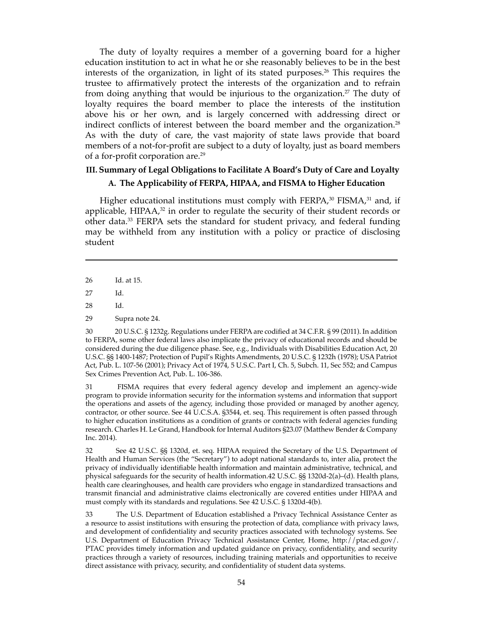The duty of loyalty requires a member of a governing board for a higher education institution to act in what he or she reasonably believes to be in the best interests of the organization, in light of its stated purposes.<sup>26</sup> This requires the trustee to affirmatively protect the interests of the organization and to refrain from doing anything that would be injurious to the organization.<sup>27</sup> The duty of loyalty requires the board member to place the interests of the institution above his or her own, and is largely concerned with addressing direct or indirect conflicts of interest between the board member and the organization.<sup>28</sup> As with the duty of care, the vast majority of state laws provide that board members of a not-for-profit are subject to a duty of loyalty, just as board members of a for-profit corporation are.<sup>29</sup>

## **III. Summary of Legal Obligations to Facilitate A Board's Duty of Care and Loyalty A. The Applicability of FERPA, HIPAA, and FISMA to Higher Education**

Higher educational institutions must comply with FERPA, $30$  FISMA, $31$  and, if applicable, HIPAA $3^2$  in order to regulate the security of their student records or other data.<sup>33</sup> FERPA sets the standard for student privacy, and federal funding may be withheld from any institution with a policy or practice of disclosing student

26 Id. at 15.

27 Id.

28 Id.

30 20 U.S.C. § 1232g. Regulations under FERPA are codified at 34 C.F.R. § 99 (2011). In addition to FERPA, some other federal laws also implicate the privacy of educational records and should be considered during the due diligence phase. See, e.g., Individuals with Disabilities Education Act, 20 U.S.C. §§ 1400-1487; Protection of Pupil's Rights Amendments, 20 U.S.C. § 1232h (1978); USA Patriot Act, Pub. L. 107-56 (2001); Privacy Act of 1974, 5 U.S.C. Part I, Ch. 5, Subch. 11, Sec 552; and Campus Sex Crimes Prevention Act, Pub. L. 106-386.

31 FISMA requires that every federal agency develop and implement an agency-wide program to provide information security for the information systems and information that support the operations and assets of the agency, including those provided or managed by another agency, contractor, or other source. See 44 U.C.S.A. §3544, et. seq. This requirement is often passed through to higher education institutions as a condition of grants or contracts with federal agencies funding research. Charles H. Le Grand, Handbook for Internal Auditors §23.07 (Matthew Bender & Company Inc. 2014).

32 See 42 U.S.C. §§ 1320d, et. seq. HIPAA required the Secretary of the U.S. Department of Health and Human Services (the "Secretary") to adopt national standards to, inter alia, protect the privacy of individually identifiable health information and maintain administrative, technical, and physical safeguards for the security of health information.42 U.S.C. §§ 1320d-2(a)–(d). Health plans, health care clearinghouses, and health care providers who engage in standardized transactions and transmit financial and administrative claims electronically are covered entities under HIPAA and must comply with its standards and regulations. See 42 U.S.C. § 1320d-4(b).

33 The U.S. Department of Education established a Privacy Technical Assistance Center as a resource to assist institutions with ensuring the protection of data, compliance with privacy laws, and development of confidentiality and security practices associated with technology systems. See U.S. Department of Education Privacy Technical Assistance Center, Home, http://ptac.ed.gov/. PTAC provides timely information and updated guidance on privacy, confidentiality, and security practices through a variety of resources, including training materials and opportunities to receive direct assistance with privacy, security, and confidentiality of student data systems.

<sup>29</sup> Supra note 24.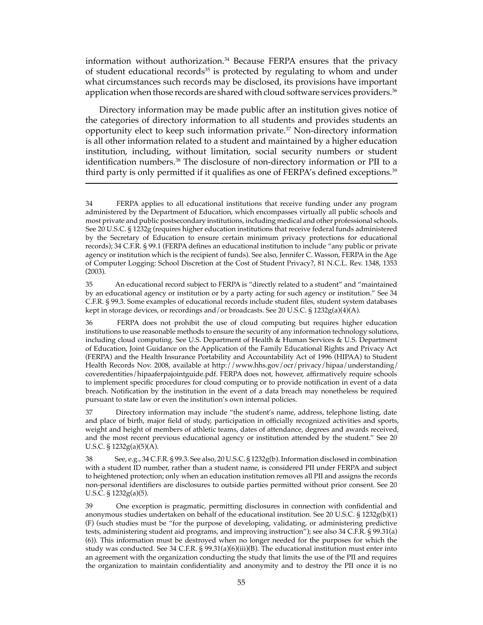information without authorization.<sup>34</sup> Because FERPA ensures that the privacy of student educational records<sup>35</sup> is protected by regulating to whom and under what circumstances such records may be disclosed, its provisions have important application when those records are shared with cloud software services providers.<sup>36</sup>

Directory information may be made public after an institution gives notice of the categories of directory information to all students and provides students an opportunity elect to keep such information private.37 Non-directory information is all other information related to a student and maintained by a higher education institution, including, without limitation, social security numbers or student identification numbers.<sup>38</sup> The disclosure of non-directory information or PII to a third party is only permitted if it qualifies as one of FERPA's defined exceptions.<sup>39</sup>

35 An educational record subject to FERPA is "directly related to a student" and "maintained by an educational agency or institution or by a party acting for such agency or institution." See 34 C.F.R. § 99.3. Some examples of educational records include student files, student system databases kept in storage devices, or recordings and/or broadcasts. See 20 U.S.C. §  $1232g(a)(4)(A)$ .

36 FERPA does not prohibit the use of cloud computing but requires higher education institutions to use reasonable methods to ensure the security of any information technology solutions, including cloud computing. See U.S. Department of Health & Human Services & U.S. Department of Education, Joint Guidance on the Application of the Family Educational Rights and Privacy Act (FERPA) and the Health Insurance Portability and Accountability Act of 1996 (HIPAA) to Student Health Records Nov. 2008, available at http://www.hhs.gov/ocr/privacy/hipaa/understanding/ coveredentities/hipaaferpajointguide.pdf. FERPA does not, however, affirmatively require schools to implement specific procedures for cloud computing or to provide notification in event of a data breach. Notification by the institution in the event of a data breach may nonetheless be required pursuant to state law or even the institution's own internal policies.

37 Directory information may include "the student's name, address, telephone listing, date and place of birth, major field of study, participation in officially recognized activities and sports, weight and height of members of athletic teams, dates of attendance, degrees and awards received, and the most recent previous educational agency or institution attended by the student." See 20 U.S.C.  $\S 1232g(a)(5)(A)$ .

38 See, e.g., 34 C.F.R. § 99.3. See also, 20 U.S.C. § 1232g(b). Information disclosed in combination with a student ID number, rather than a student name, is considered PII under FERPA and subject to heightened protection; only when an education institution removes all PII and assigns the records non-personal identifiers are disclosures to outside parties permitted without prior consent. See 20 U.S.C. § 1232g(a)(5).

39 One exception is pragmatic, permitting disclosures in connection with confidential and anonymous studies undertaken on behalf of the educational institution. See 20 U.S.C. §  $1232g(b)(1)$ (F) (such studies must be "for the purpose of developing, validating, or administering predictive tests, administering student aid programs, and improving instruction"); see also 34 C.F.R. § 99.31(a) (6)). This information must be destroyed when no longer needed for the purposes for which the study was conducted. See 34 C.F.R. § 99.31(a)(6)(iii)(B). The educational institution must enter into an agreement with the organization conducting the study that limits the use of the PII and requires the organization to maintain confidentiality and anonymity and to destroy the PII once it is no

<sup>34</sup> FERPA applies to all educational institutions that receive funding under any program administered by the Department of Education, which encompasses virtually all public schools and most private and public postsecondary institutions, including medical and other professional schools. See 20 U.S.C. § 1232g (requires higher education institutions that receive federal funds administered by the Secretary of Education to ensure certain minimum privacy protections for educational records); 34 C.F.R. § 99.1 (FERPA defines an educational institution to include "any public or private agency or institution which is the recipient of funds). See also, Jennifer C. Wasson, FERPA in the Age of Computer Logging: School Discretion at the Cost of Student Privacy?, 81 N.C.L. Rev. 1348, 1353 (2003).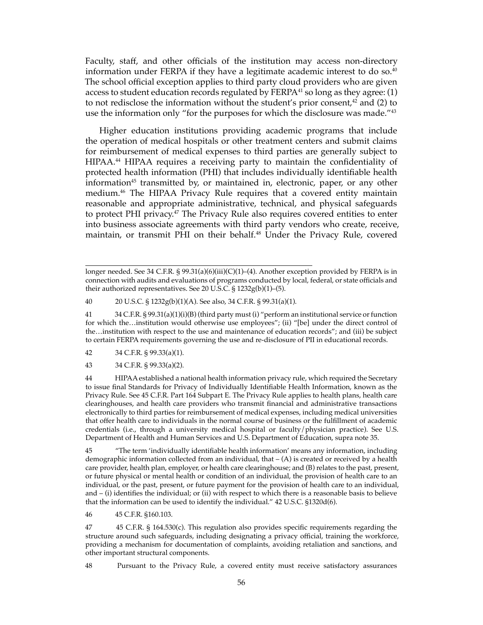Faculty, staff, and other officials of the institution may access non-directory information under FERPA if they have a legitimate academic interest to do so. $40$ The school official exception applies to third party cloud providers who are given access to student education records regulated by  $FERPA<sup>41</sup>$  so long as they agree: (1) to not redisclose the information without the student's prior consent, $42$  and (2) to use the information only "for the purposes for which the disclosure was made."43

Higher education institutions providing academic programs that include the operation of medical hospitals or other treatment centers and submit claims for reimbursement of medical expenses to third parties are generally subject to HIPAA.<sup>44</sup> HIPAA requires a receiving party to maintain the confidentiality of protected health information (PHI) that includes individually identifiable health information45 transmitted by, or maintained in, electronic, paper, or any other medium.46 The HIPAA Privacy Rule requires that a covered entity maintain reasonable and appropriate administrative, technical, and physical safeguards to protect PHI privacy.47 The Privacy Rule also requires covered entities to enter into business associate agreements with third party vendors who create, receive, maintain, or transmit PHI on their behalf.<sup>48</sup> Under the Privacy Rule, covered

40 20 U.S.C. § 1232g(b)(1)(A). See also, 34 C.F.R. § 99.31(a)(1).

41 34 C.F.R. § 99.31(a)(1)(i)(B) (third party must (i) "perform an institutional service or function for which the…institution would otherwise use employees"; (ii) "[be] under the direct control of the…institution with respect to the use and maintenance of education records"; and (iii) be subject to certain FERPA requirements governing the use and re-disclosure of PII in educational records.

42 34 C.F.R. § 99.33(a)(1).

43 34 C.F.R. § 99.33(a)(2).

44 HIPAA established a national health information privacy rule, which required the Secretary to issue final Standards for Privacy of Individually Identifiable Health Information, known as the Privacy Rule. See 45 C.F.R. Part 164 Subpart E. The Privacy Rule applies to health plans, health care clearinghouses, and health care providers who transmit financial and administrative transactions electronically to third parties for reimbursement of medical expenses, including medical universities that offer health care to individuals in the normal course of business or the fulfillment of academic credentials (i.e., through a university medical hospital or faculty/physician practice). See U.S. Department of Health and Human Services and U.S. Department of Education, supra note 35.

45 "The term 'individually identifiable health information' means any information, including demographic information collected from an individual, that  $-$  (A) is created or received by a health care provider, health plan, employer, or health care clearinghouse; and (B) relates to the past, present, or future physical or mental health or condition of an individual, the provision of health care to an individual, or the past, present, or future payment for the provision of health care to an individual, and – (i) identifies the individual; or (ii) with respect to which there is a reasonable basis to believe that the information can be used to identify the individual." 42 U.S.C. §1320d(6).

46 45 C.F.R. §160.103.

47 45 C.F.R. § 164.530(c). This regulation also provides specific requirements regarding the structure around such safeguards, including designating a privacy official, training the workforce, providing a mechanism for documentation of complaints, avoiding retaliation and sanctions, and other important structural components.

48 Pursuant to the Privacy Rule, a covered entity must receive satisfactory assurances

longer needed. See 34 C.F.R. § 99.31(a)(6)(iii)(C)(1)–(4). Another exception provided by FERPA is in connection with audits and evaluations of programs conducted by local, federal, or state officials and their authorized representatives. See 20 U.S.C. § 1232g(b)(1)–(5).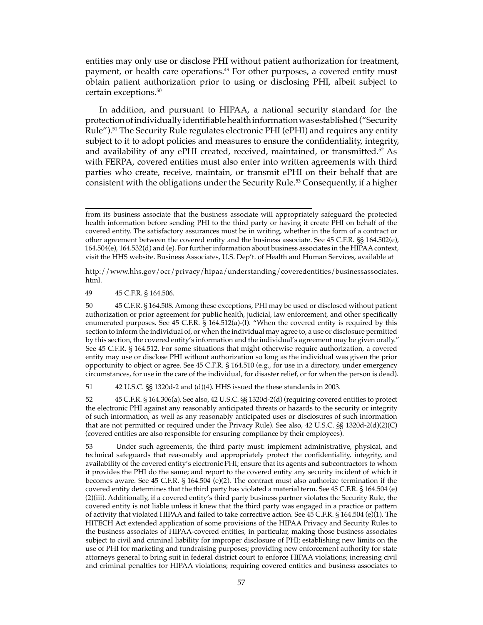entities may only use or disclose PHI without patient authorization for treatment, payment, or health care operations.<sup>49</sup> For other purposes, a covered entity must obtain patient authorization prior to using or disclosing PHI, albeit subject to certain exceptions.50

In addition, and pursuant to HIPAA, a national security standard for the protection of individually identifiable health information was established ("Security Rule").51 The Security Rule regulates electronic PHI (ePHI) and requires any entity subject to it to adopt policies and measures to ensure the confidentiality, integrity, and availability of any ePHI created, received, maintained, or transmitted.<sup>52</sup> As with FERPA, covered entities must also enter into written agreements with third parties who create, receive, maintain, or transmit ePHI on their behalf that are consistent with the obligations under the Security Rule.53 Consequently, if a higher

http://www.hhs.gov/ocr/privacy/hipaa/understanding/coveredentities/businessassociates. html.

49 45 C.F.R. § 164.506.

50 45 C.F.R. § 164.508. Among these exceptions, PHI may be used or disclosed without patient authorization or prior agreement for public health, judicial, law enforcement, and other specifically enumerated purposes. See 45 C.F.R. § 164.512(a)-(l). "When the covered entity is required by this section to inform the individual of, or when the individual may agree to, a use or disclosure permitted by this section, the covered entity's information and the individual's agreement may be given orally." See 45 C.F.R. § 164.512. For some situations that might otherwise require authorization, a covered entity may use or disclose PHI without authorization so long as the individual was given the prior opportunity to object or agree. See 45 C.F.R. § 164.510 (e.g., for use in a directory, under emergency circumstances, for use in the care of the individual, for disaster relief, or for when the person is dead).

51 42 U.S.C. §§ 1320d-2 and (d)(4). HHS issued the these standards in 2003.

52 45 C.F.R. § 164.306(a). See also, 42 U.S.C. §§ 1320d-2(d) (requiring covered entities to protect the electronic PHI against any reasonably anticipated threats or hazards to the security or integrity of such information, as well as any reasonably anticipated uses or disclosures of such information that are not permitted or required under the Privacy Rule). See also, 42 U.S.C. §§ 1320d-2(d)(2)(C) (covered entities are also responsible for ensuring compliance by their employees).

53 Under such agreements, the third party must: implement administrative, physical, and technical safeguards that reasonably and appropriately protect the confidentiality, integrity, and availability of the covered entity's electronic PHI; ensure that its agents and subcontractors to whom it provides the PHI do the same; and report to the covered entity any security incident of which it becomes aware. See 45 C.F.R. § 164.504 (e)(2). The contract must also authorize termination if the covered entity determines that the third party has violated a material term. See 45 C.F.R. § 164.504 (e) (2)(iii). Additionally, if a covered entity's third party business partner violates the Security Rule, the covered entity is not liable unless it knew that the third party was engaged in a practice or pattern of activity that violated HIPAA and failed to take corrective action. See 45 C.F.R. § 164.504 (e)(1). The HITECH Act extended application of some provisions of the HIPAA Privacy and Security Rules to the business associates of HIPAA-covered entities, in particular, making those business associates subject to civil and criminal liability for improper disclosure of PHI; establishing new limits on the use of PHI for marketing and fundraising purposes; providing new enforcement authority for state attorneys general to bring suit in federal district court to enforce HIPAA violations; increasing civil and criminal penalties for HIPAA violations; requiring covered entities and business associates to

from its business associate that the business associate will appropriately safeguard the protected health information before sending PHI to the third party or having it create PHI on behalf of the covered entity. The satisfactory assurances must be in writing, whether in the form of a contract or other agreement between the covered entity and the business associate. See 45 C.F.R. §§ 164.502(e), 164.504(e), 164.532(d) and (e). For further information about business associates in the HIPAA context, visit the HHS website. Business Associates, U.S. Dep't. of Health and Human Services, available at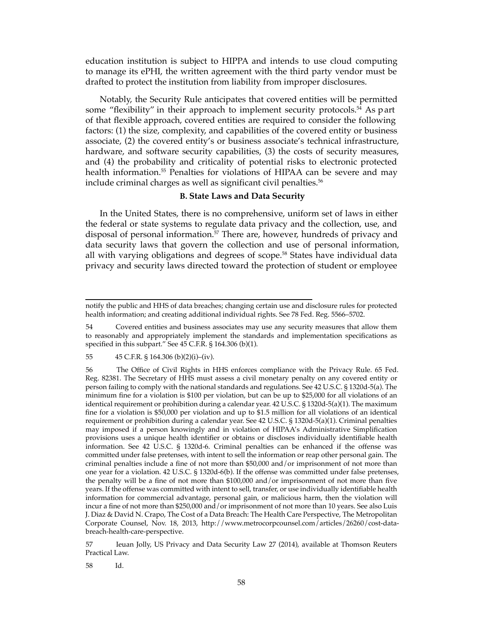education institution is subject to HIPPA and intends to use cloud computing to manage its ePHI, the written agreement with the third party vendor must be drafted to protect the institution from liability from improper disclosures.

Notably, the Security Rule anticipates that covered entities will be permitted some "flexibility" in their approach to implement security protocols.<sup>54</sup> As p art of that flexible approach, covered entities are required to consider the following factors: (1) the size, complexity, and capabilities of the covered entity or business associate, (2) the covered entity's or business associate's technical infrastructure, hardware, and software security capabilities, (3) the costs of security measures, and (4) the probability and criticality of potential risks to electronic protected health information.<sup>55</sup> Penalties for violations of HIPAA can be severe and may include criminal charges as well as significant civil penalties.<sup>56</sup>

## **B. State Laws and Data Security**

In the United States, there is no comprehensive, uniform set of laws in either the federal or state systems to regulate data privacy and the collection, use, and disposal of personal information.<sup>57</sup> There are, however, hundreds of privacy and data security laws that govern the collection and use of personal information, all with varying obligations and degrees of scope.<sup>58</sup> States have individual data privacy and security laws directed toward the protection of student or employee

57 Ieuan Jolly, US Privacy and Data Security Law 27 (2014), available at Thomson Reuters Practical Law.

58 Id.

notify the public and HHS of data breaches; changing certain use and disclosure rules for protected health information; and creating additional individual rights. See 78 Fed. Reg. 5566–5702.

<sup>54</sup> Covered entities and business associates may use any security measures that allow them to reasonably and appropriately implement the standards and implementation specifications as specified in this subpart." See 45 C.F.R. § 164.306 (b)(1).

<sup>55 45</sup> C.F.R. § 164.306 (b)(2)(i)–(iv).

<sup>56</sup> The Office of Civil Rights in HHS enforces compliance with the Privacy Rule. 65 Fed. Reg. 82381. The Secretary of HHS must assess a civil monetary penalty on any covered entity or person failing to comply with the national standards and regulations. See 42 U.S.C. § 1320d-5(a). The minimum fine for a violation is \$100 per violation, but can be up to \$25,000 for all violations of an identical requirement or prohibition during a calendar year. 42 U.S.C. § 1320d-5(a)(1). The maximum fine for a violation is \$50,000 per violation and up to \$1.5 million for all violations of an identical requirement or prohibition during a calendar year. See 42 U.S.C. § 1320d-5(a)(1). Criminal penalties may imposed if a person knowingly and in violation of HIPAA's Administrative Simplification provisions uses a unique health identifier or obtains or discloses individually identifiable health information. See 42 U.S.C. § 1320d-6. Criminal penalties can be enhanced if the offense was committed under false pretenses, with intent to sell the information or reap other personal gain. The criminal penalties include a fine of not more than \$50,000 and/or imprisonment of not more than one year for a violation. 42 U.S.C. § 1320d-6(b). If the offense was committed under false pretenses, the penalty will be a fine of not more than \$100,000 and/or imprisonment of not more than five years. If the offense was committed with intent to sell, transfer, or use individually identifiable health information for commercial advantage, personal gain, or malicious harm, then the violation will incur a fine of not more than \$250,000 and/or imprisonment of not more than 10 years. See also Luis J. Diaz & David N. Crapo, The Cost of a Data Breach: The Health Care Perspective, The Metropolitan Corporate Counsel, Nov. 18, 2013, http://www.metrocorpcounsel.com/articles/26260/cost-databreach-health-care-perspective.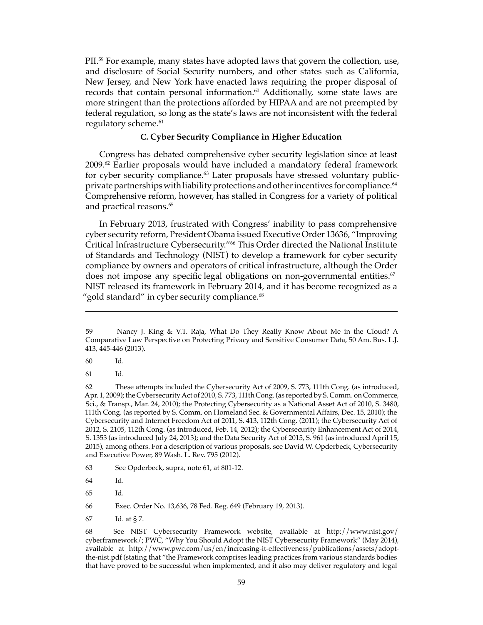PII.<sup>59</sup> For example, many states have adopted laws that govern the collection, use, and disclosure of Social Security numbers, and other states such as California, New Jersey, and New York have enacted laws requiring the proper disposal of records that contain personal information. $60$  Additionally, some state laws are more stringent than the protections afforded by HIPAA and are not preempted by federal regulation, so long as the state's laws are not inconsistent with the federal regulatory scheme.<sup>61</sup>

## **C. Cyber Security Compliance in Higher Education**

Congress has debated comprehensive cyber security legislation since at least 2009.<sup>62</sup> Earlier proposals would have included a mandatory federal framework for cyber security compliance.<sup>63</sup> Later proposals have stressed voluntary publicprivate partnerships with liability protections and other incentives for compliance.<sup>64</sup> Comprehensive reform, however, has stalled in Congress for a variety of political and practical reasons.<sup>65</sup>

In February 2013, frustrated with Congress' inability to pass comprehensive cyber security reform, President Obama issued Executive Order 13636, "Improving Critical Infrastructure Cybersecurity."<sup>66</sup> This Order directed the National Institute of Standards and Technology (NIST) to develop a framework for cyber security compliance by owners and operators of critical infrastructure, although the Order does not impose any specific legal obligations on non-governmental entities. $67$ NIST released its framework in February 2014, and it has become recognized as a "gold standard" in cyber security compliance.<sup>68</sup>

60 Id.

61 Id.

67 Id. at § 7.

<sup>59</sup> Nancy J. King & V.T. Raja, What Do They Really Know About Me in the Cloud? A Comparative Law Perspective on Protecting Privacy and Sensitive Consumer Data, 50 Am. Bus. L.J. 413, 445-446 (2013).

<sup>62</sup> These attempts included the Cybersecurity Act of 2009, S. 773, 111th Cong. (as introduced, Apr. 1, 2009); the Cybersecurity Act of 2010, S. 773, 111th Cong. (as reported by S. Comm. on Commerce, Sci., & Transp., Mar. 24, 2010); the Protecting Cybersecurity as a National Asset Act of 2010, S. 3480, 111th Cong. (as reported by S. Comm. on Homeland Sec. & Governmental Affairs, Dec. 15, 2010); the Cybersecurity and Internet Freedom Act of 2011, S. 413, 112th Cong. (2011); the Cybersecurity Act of 2012, S. 2105, 112th Cong. (as introduced, Feb. 14, 2012); the Cybersecurity Enhancement Act of 2014, S. 1353 (as introduced July 24, 2013); and the Data Security Act of 2015, S. 961 (as introduced April 15, 2015), among others. For a description of various proposals, see David W. Opderbeck, Cybersecurity and Executive Power, 89 Wash. L. Rev. 795 (2012).

<sup>63</sup> See Opderbeck, supra, note 61, at 801-12.

<sup>64</sup> Id.

<sup>65</sup> Id.

<sup>66</sup> Exec. Order No. 13,636, 78 Fed. Reg. 649 (February 19, 2013).

<sup>68</sup> See NIST Cybersecurity Framework website, available at http://www.nist.gov/ cyberframework/; PWC, "Why You Should Adopt the NIST Cybersecurity Framework" (May 2014), available at http://www.pwc.com/us/en/increasing-it-effectiveness/publications/assets/adoptthe-nist.pdf (stating that "the Framework comprises leading practices from various standards bodies that have proved to be successful when implemented, and it also may deliver regulatory and legal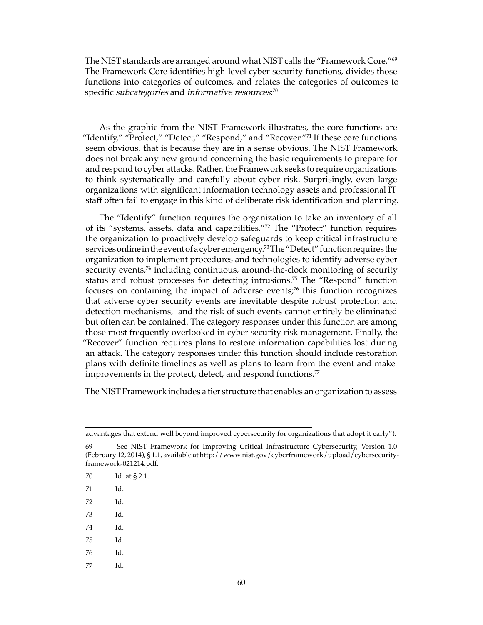The NIST standards are arranged around what NIST calls the "Framework Core."<sup>69</sup> The Framework Core identifies high-level cyber security functions, divides those functions into categories of outcomes, and relates the categories of outcomes to specific *subcategories* and *informative resources*: $^{70}$ 

As the graphic from the NIST Framework illustrates, the core functions are "Identify," "Protect," "Detect," "Respond," and "Recover."<sup>71</sup> If these core functions seem obvious, that is because they are in a sense obvious. The NIST Framework does not break any new ground concerning the basic requirements to prepare for and respond to cyber attacks. Rather, the Framework seeks to require organizations to think systematically and carefully about cyber risk. Surprisingly, even large organizations with significant information technology assets and professional IT staff often fail to engage in this kind of deliberate risk identification and planning.

The "Identify" function requires the organization to take an inventory of all of its "systems, assets, data and capabilities."<sup>72</sup> The "Protect" function requires the organization to proactively develop safeguards to keep critical infrastructure services online in the event of a cyber emergency. <sup>73</sup> The "Detect" function requires the organization to implement procedures and technologies to identify adverse cyber security events,<sup>74</sup> including continuous, around-the-clock monitoring of security status and robust processes for detecting intrusions.<sup>75</sup> The "Respond" function focuses on containing the impact of adverse events;<sup>76</sup> this function recognizes that adverse cyber security events are inevitable despite robust protection and detection mechanisms, and the risk of such events cannot entirely be eliminated but often can be contained. The category responses under this function are among those most frequently overlooked in cyber security risk management. Finally, the "Recover" function requires plans to restore information capabilities lost during an attack. The category responses under this function should include restoration plans with definite timelines as well as plans to learn from the event and make improvements in the protect, detect, and respond functions.<sup>77</sup>

The NIST Framework includes a tier structure that enables an organization to assess

- 74 Id.
- 75 Id.
- 76 Id.
- 77 Id.

advantages that extend well beyond improved cybersecurity for organizations that adopt it early").

<sup>69</sup> See NIST Framework for Improving Critical Infrastructure Cybersecurity, Version 1.0 (February 12, 2014), § 1.1, available at http://www.nist.gov/cyberframework/upload/cybersecurityframework-021214.pdf.

<sup>70</sup> Id. at § 2.1.

<sup>71</sup> Id.

<sup>72</sup> Id.

<sup>73</sup> Id.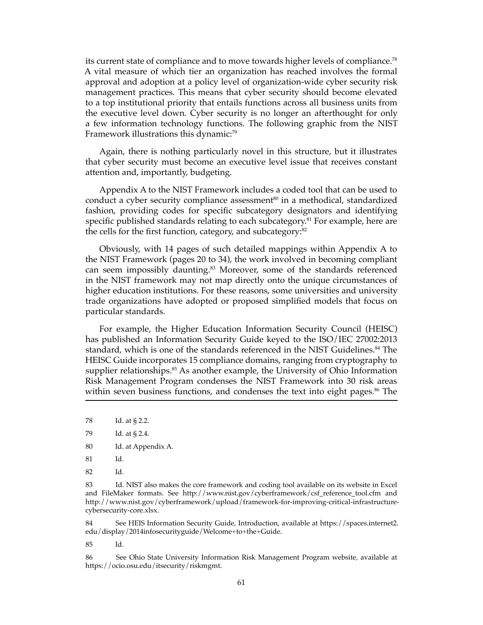its current state of compliance and to move towards higher levels of compliance.<sup>78</sup> A vital measure of which tier an organization has reached involves the formal approval and adoption at a policy level of organization-wide cyber security risk management practices. This means that cyber security should become elevated to a top institutional priority that entails functions across all business units from the executive level down. Cyber security is no longer an afterthought for only a few information technology functions. The following graphic from the NIST Framework illustrations this dynamic:<sup>79</sup>

Again, there is nothing particularly novel in this structure, but it illustrates that cyber security must become an executive level issue that receives constant attention and, importantly, budgeting.

Appendix A to the NIST Framework includes a coded tool that can be used to conduct a cyber security compliance assessment $80$  in a methodical, standardized fashion, providing codes for specific subcategory designators and identifying specific published standards relating to each subcategory.<sup>81</sup> For example, here are the cells for the first function, category, and subcategory:<sup>82</sup>

Obviously, with 14 pages of such detailed mappings within Appendix A to the NIST Framework (pages 20 to 34), the work involved in becoming compliant can seem impossibly daunting.<sup>83</sup> Moreover, some of the standards referenced in the NIST framework may not map directly onto the unique circumstances of higher education institutions. For these reasons, some universities and university trade organizations have adopted or proposed simplified models that focus on particular standards.

For example, the Higher Education Information Security Council (HEISC) has published an Information Security Guide keyed to the ISO/IEC 27002:2013 standard, which is one of the standards referenced in the NIST Guidelines.<sup>84</sup> The HEISC Guide incorporates 15 compliance domains, ranging from cryptography to supplier relationships.<sup>85</sup> As another example, the University of Ohio Information Risk Management Program condenses the NIST Framework into 30 risk areas within seven business functions, and condenses the text into eight pages.<sup>86</sup> The

- 80 Id. at Appendix A.
- 81 Id.

83 Id. NIST also makes the core framework and coding tool available on its website in Excel and FileMaker formats. See http://www.nist.gov/cyberframework/csf\_reference\_tool.cfm and http://www.nist.gov/cyberframework/upload/framework-for-improving-critical-infrastructurecybersecurity-core.xlsx.

84 See HEIS Information Security Guide, Introduction, available at https://spaces.internet2. edu/display/2014infosecurityguide/Welcome+to+the+Guide.

85 Id.

86 See Ohio State University Information Risk Management Program website, available at https://ocio.osu.edu/itsecurity/riskmgmt.

<sup>78</sup> Id. at § 2.2.

<sup>79</sup> Id. at § 2.4.

<sup>82</sup> Id.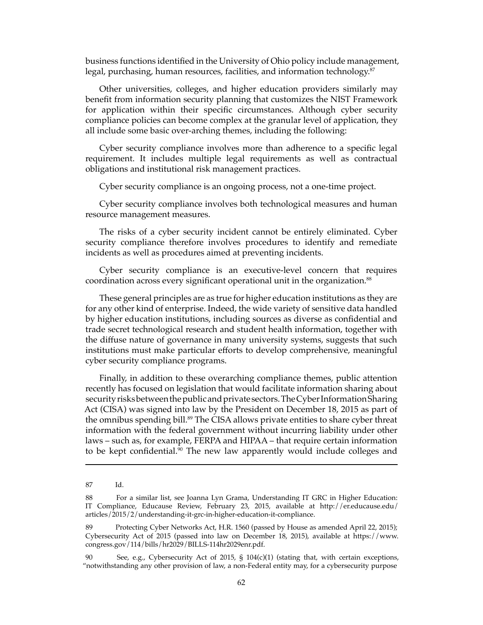business functions identified in the University of Ohio policy include management, legal, purchasing, human resources, facilities, and information technology.<sup>87</sup>

Other universities, colleges, and higher education providers similarly may benefit from information security planning that customizes the NIST Framework for application within their specific circumstances. Although cyber security compliance policies can become complex at the granular level of application, they all include some basic over-arching themes, including the following:

Cyber security compliance involves more than adherence to a specific legal requirement. It includes multiple legal requirements as well as contractual obligations and institutional risk management practices.

Cyber security compliance is an ongoing process, not a one-time project.

Cyber security compliance involves both technological measures and human resource management measures.

The risks of a cyber security incident cannot be entirely eliminated. Cyber security compliance therefore involves procedures to identify and remediate incidents as well as procedures aimed at preventing incidents.

Cyber security compliance is an executive-level concern that requires coordination across every significant operational unit in the organization.<sup>88</sup>

These general principles are as true for higher education institutions as they are for any other kind of enterprise. Indeed, the wide variety of sensitive data handled by higher education institutions, including sources as diverse as confidential and trade secret technological research and student health information, together with the diffuse nature of governance in many university systems, suggests that such institutions must make particular efforts to develop comprehensive, meaningful cyber security compliance programs.

Finally, in addition to these overarching compliance themes, public attention recently has focused on legislation that would facilitate information sharing about security risks between the public and private sectors. The Cyber Information Sharing Act (CISA) was signed into law by the President on December 18, 2015 as part of the omnibus spending bill.<sup>89</sup> The CISA allows private entities to share cyber threat information with the federal government without incurring liability under other laws – such as, for example, FERPA and HIPAA – that require certain information to be kept confidential.<sup>90</sup> The new law apparently would include colleges and

<sup>87</sup> Id.

<sup>88</sup> For a similar list, see Joanna Lyn Grama, Understanding IT GRC in Higher Education: IT Compliance, Educause Review, February 23, 2015, available at http://er.educause.edu/ articles/2015/2/understanding-it-grc-in-higher-education-it-compliance.

<sup>89</sup> Protecting Cyber Networks Act, H.R. 1560 (passed by House as amended April 22, 2015); Cybersecurity Act of 2015 (passed into law on December 18, 2015), available at https://www. congress.gov/114/bills/hr2029/BILLS-114hr2029enr.pdf.

<sup>90</sup> See, e.g., Cybersecurity Act of 2015, § 104(c)(1) (stating that, with certain exceptions, "notwithstanding any other provision of law, a non-Federal entity may, for a cybersecurity purpose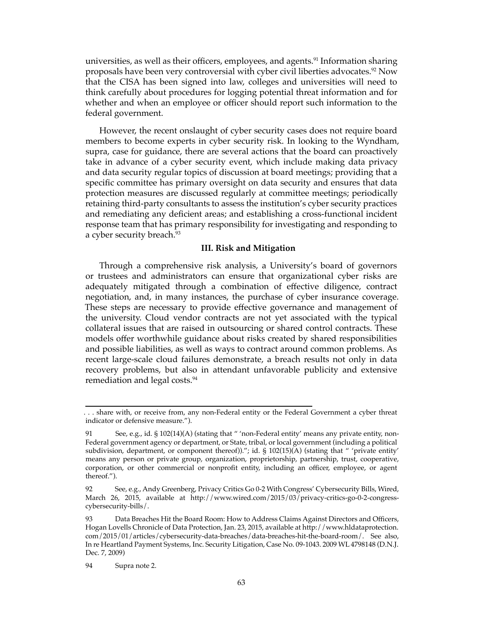universities, as well as their officers, employees, and agents.<sup>91</sup> Information sharing proposals have been very controversial with cyber civil liberties advocates.92 Now that the CISA has been signed into law, colleges and universities will need to think carefully about procedures for logging potential threat information and for whether and when an employee or officer should report such information to the federal government.

However, the recent onslaught of cyber security cases does not require board members to become experts in cyber security risk. In looking to the Wyndham, supra, case for guidance, there are several actions that the board can proactively take in advance of a cyber security event, which include making data privacy and data security regular topics of discussion at board meetings; providing that a specific committee has primary oversight on data security and ensures that data protection measures are discussed regularly at committee meetings; periodically retaining third-party consultants to assess the institution's cyber security practices and remediating any deficient areas; and establishing a cross-functional incident response team that has primary responsibility for investigating and responding to a cyber security breach.<sup>93</sup>

#### **III. Risk and Mitigation**

Through a comprehensive risk analysis, a University's board of governors or trustees and administrators can ensure that organizational cyber risks are adequately mitigated through a combination of effective diligence, contract negotiation, and, in many instances, the purchase of cyber insurance coverage. These steps are necessary to provide effective governance and management of the university. Cloud vendor contracts are not yet associated with the typical collateral issues that are raised in outsourcing or shared control contracts. These models offer worthwhile guidance about risks created by shared responsibilities and possible liabilities, as well as ways to contract around common problems. As recent large-scale cloud failures demonstrate, a breach results not only in data recovery problems, but also in attendant unfavorable publicity and extensive remediation and legal costs.<sup>94</sup>

<sup>. . .</sup> share with, or receive from, any non-Federal entity or the Federal Government a cyber threat indicator or defensive measure.").

<sup>91</sup> See, e.g., id. § 102(14)(A) (stating that " 'non-Federal entity' means any private entity, non-Federal government agency or department, or State, tribal, or local government (including a political subdivision, department, or component thereof))."; id. § 102(15)(A) (stating that " 'private entity' means any person or private group, organization, proprietorship, partnership, trust, cooperative, corporation, or other commercial or nonprofit entity, including an officer, employee, or agent thereof.").

<sup>92</sup> See, e.g., Andy Greenberg, Privacy Critics Go 0-2 With Congress' Cybersecurity Bills, Wired, March 26, 2015, available at http://www.wired.com/2015/03/privacy-critics-go-0-2-congresscybersecurity-bills/.

<sup>93</sup> Data Breaches Hit the Board Room: How to Address Claims Against Directors and Officers, Hogan Lovells Chronicle of Data Protection, Jan. 23, 2015, available at http://www.hldataprotection. com/2015/01/articles/cybersecurity-data-breaches/data-breaches-hit-the-board-room/. See also, In re Heartland Payment Systems, Inc. Security Litigation, Case No. 09-1043. 2009 WL 4798148 (D.N.J. Dec. 7, 2009)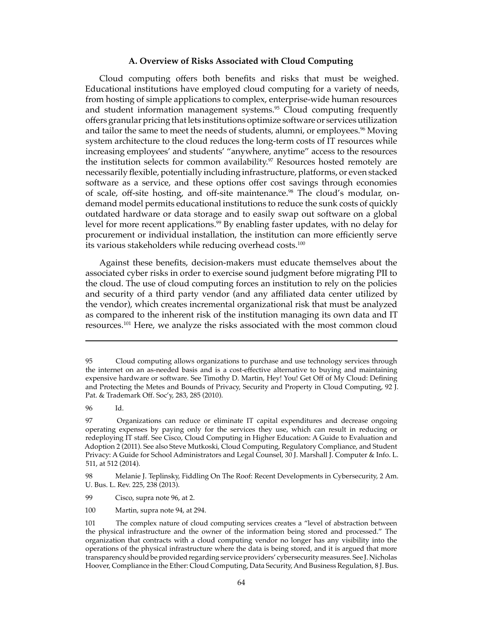#### **A. Overview of Risks Associated with Cloud Computing**

Cloud computing offers both benefits and risks that must be weighed. Educational institutions have employed cloud computing for a variety of needs, from hosting of simple applications to complex, enterprise-wide human resources and student information management systems.<sup>95</sup> Cloud computing frequently offers granular pricing that lets institutions optimize software or services utilization and tailor the same to meet the needs of students, alumni, or employees.<sup>96</sup> Moving system architecture to the cloud reduces the long-term costs of IT resources while increasing employees' and students' "anywhere, anytime" access to the resources the institution selects for common availability.<sup>97</sup> Resources hosted remotely are necessarily flexible, potentially including infrastructure, platforms, or even stacked software as a service, and these options offer cost savings through economies of scale, off-site hosting, and off-site maintenance.<sup>98</sup> The cloud's modular, ondemand model permits educational institutions to reduce the sunk costs of quickly outdated hardware or data storage and to easily swap out software on a global level for more recent applications.<sup>99</sup> By enabling faster updates, with no delay for procurement or individual installation, the institution can more efficiently serve its various stakeholders while reducing overhead costs.<sup>100</sup>

Against these benefits, decision-makers must educate themselves about the associated cyber risks in order to exercise sound judgment before migrating PII to the cloud. The use of cloud computing forces an institution to rely on the policies and security of a third party vendor (and any affiliated data center utilized by the vendor), which creates incremental organizational risk that must be analyzed as compared to the inherent risk of the institution managing its own data and IT resources.101 Here, we analyze the risks associated with the most common cloud

96 Id.

100 Martin, supra note 94, at 294.

<sup>95</sup> Cloud computing allows organizations to purchase and use technology services through the internet on an as-needed basis and is a cost-effective alternative to buying and maintaining expensive hardware or software. See Timothy D. Martin, Hey! You! Get Off of My Cloud: Defining and Protecting the Metes and Bounds of Privacy, Security and Property in Cloud Computing, 92 J. Pat. & Trademark Off. Soc'y, 283, 285 (2010).

<sup>97</sup> Organizations can reduce or eliminate IT capital expenditures and decrease ongoing operating expenses by paying only for the services they use, which can result in reducing or redeploying IT staff. See Cisco, Cloud Computing in Higher Education: A Guide to Evaluation and Adoption 2 (2011). See also Steve Mutkoski, Cloud Computing, Regulatory Compliance, and Student Privacy: A Guide for School Administrators and Legal Counsel, 30 J. Marshall J. Computer & Info. L. 511, at 512 (2014).

<sup>98</sup> Melanie J. Teplinsky, Fiddling On The Roof: Recent Developments in Cybersecurity, 2 Am. U. Bus. L. Rev. 225, 238 (2013).

<sup>99</sup> Cisco, supra note 96, at 2.

<sup>101</sup> The complex nature of cloud computing services creates a "level of abstraction between the physical infrastructure and the owner of the information being stored and processed." The organization that contracts with a cloud computing vendor no longer has any visibility into the operations of the physical infrastructure where the data is being stored, and it is argued that more transparency should be provided regarding service providers' cybersecurity measures. See J. Nicholas Hoover, Compliance in the Ether: Cloud Computing, Data Security, And Business Regulation, 8 J. Bus.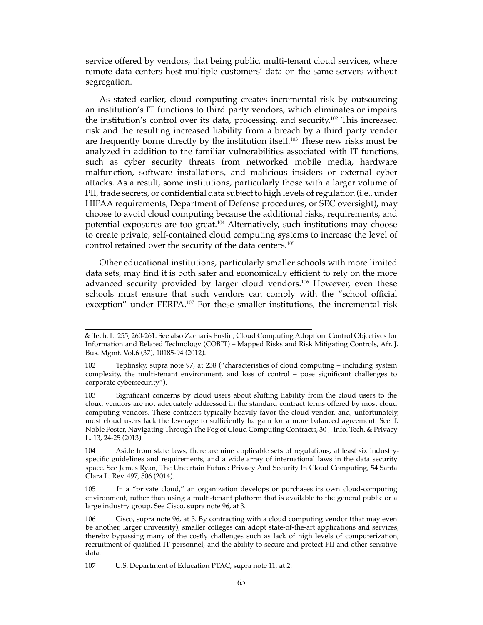service offered by vendors, that being public, multi-tenant cloud services, where remote data centers host multiple customers' data on the same servers without segregation.

As stated earlier, cloud computing creates incremental risk by outsourcing an institution's IT functions to third party vendors, which eliminates or impairs the institution's control over its data, processing, and security.102 This increased risk and the resulting increased liability from a breach by a third party vendor are frequently borne directly by the institution itself.<sup>103</sup> These new risks must be analyzed in addition to the familiar vulnerabilities associated with IT functions, such as cyber security threats from networked mobile media, hardware malfunction, software installations, and malicious insiders or external cyber attacks. As a result, some institutions, particularly those with a larger volume of PII, trade secrets, or confidential data subject to high levels of regulation (i.e., under HIPAA requirements, Department of Defense procedures, or SEC oversight), may choose to avoid cloud computing because the additional risks, requirements, and potential exposures are too great.104 Alternatively, such institutions may choose to create private, self-contained cloud computing systems to increase the level of control retained over the security of the data centers.<sup>105</sup>

Other educational institutions, particularly smaller schools with more limited data sets, may find it is both safer and economically efficient to rely on the more advanced security provided by larger cloud vendors.106 However, even these schools must ensure that such vendors can comply with the "school official exception" under FERPA.<sup>107</sup> For these smaller institutions, the incremental risk

<sup>&</sup>amp; Tech. L. 255, 260-261. See also Zacharis Enslin, Cloud Computing Adoption: Control Objectives for Information and Related Technology (COBIT) – Mapped Risks and Risk Mitigating Controls, Afr. J. Bus. Mgmt. Vol.6 (37), 10185-94 (2012).

<sup>102</sup> Teplinsky, supra note 97, at 238 ("characteristics of cloud computing – including system complexity, the multi-tenant environment, and loss of control – pose significant challenges to corporate cybersecurity").

<sup>103</sup> Significant concerns by cloud users about shifting liability from the cloud users to the cloud vendors are not adequately addressed in the standard contract terms offered by most cloud computing vendors. These contracts typically heavily favor the cloud vendor, and, unfortunately, most cloud users lack the leverage to sufficiently bargain for a more balanced agreement. See T. Noble Foster, Navigating Through The Fog of Cloud Computing Contracts, 30 J. Info. Tech. & Privacy L. 13, 24-25 (2013).

<sup>104</sup> Aside from state laws, there are nine applicable sets of regulations, at least six industryspecific guidelines and requirements, and a wide array of international laws in the data security space. See James Ryan, The Uncertain Future: Privacy And Security In Cloud Computing, 54 Santa Clara L. Rev. 497, 506 (2014).

<sup>105</sup> In a "private cloud," an organization develops or purchases its own cloud-computing environment, rather than using a multi-tenant platform that is available to the general public or a large industry group. See Cisco, supra note 96, at 3.

<sup>106</sup> Cisco, supra note 96, at 3. By contracting with a cloud computing vendor (that may even be another, larger university), smaller colleges can adopt state-of-the-art applications and services, thereby bypassing many of the costly challenges such as lack of high levels of computerization, recruitment of qualified IT personnel, and the ability to secure and protect PII and other sensitive data.

<sup>107</sup> U.S. Department of Education PTAC, supra note 11, at 2.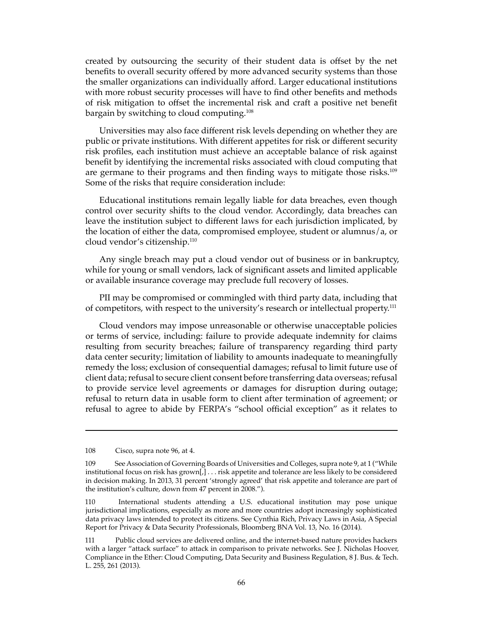created by outsourcing the security of their student data is offset by the net benefits to overall security offered by more advanced security systems than those the smaller organizations can individually afford. Larger educational institutions with more robust security processes will have to find other benefits and methods of risk mitigation to offset the incremental risk and craft a positive net benefit bargain by switching to cloud computing.<sup>108</sup>

Universities may also face different risk levels depending on whether they are public or private institutions. With different appetites for risk or different security risk profiles, each institution must achieve an acceptable balance of risk against benefit by identifying the incremental risks associated with cloud computing that are germane to their programs and then finding ways to mitigate those risks.<sup>109</sup> Some of the risks that require consideration include:

Educational institutions remain legally liable for data breaches, even though control over security shifts to the cloud vendor. Accordingly, data breaches can leave the institution subject to different laws for each jurisdiction implicated, by the location of either the data, compromised employee, student or alumnus/a, or cloud vendor's citizenship.<sup>110</sup>

Any single breach may put a cloud vendor out of business or in bankruptcy, while for young or small vendors, lack of significant assets and limited applicable or available insurance coverage may preclude full recovery of losses.

PII may be compromised or commingled with third party data, including that of competitors, with respect to the university's research or intellectual property.<sup>111</sup>

Cloud vendors may impose unreasonable or otherwise unacceptable policies or terms of service, including: failure to provide adequate indemnity for claims resulting from security breaches; failure of transparency regarding third party data center security; limitation of liability to amounts inadequate to meaningfully remedy the loss; exclusion of consequential damages; refusal to limit future use of client data; refusal to secure client consent before transferring data overseas; refusal to provide service level agreements or damages for disruption during outage; refusal to return data in usable form to client after termination of agreement; or refusal to agree to abide by FERPA's "school official exception" as it relates to

<sup>108</sup> Cisco, supra note 96, at 4.

<sup>109</sup> See Association of Governing Boards of Universities and Colleges, supra note 9, at 1 ("While institutional focus on risk has grown[,] . . . risk appetite and tolerance are less likely to be considered in decision making. In 2013, 31 percent 'strongly agreed' that risk appetite and tolerance are part of the institution's culture, down from 47 percent in 2008.").

<sup>110</sup> International students attending a U.S. educational institution may pose unique jurisdictional implications, especially as more and more countries adopt increasingly sophisticated data privacy laws intended to protect its citizens. See Cynthia Rich, Privacy Laws in Asia, A Special Report for Privacy & Data Security Professionals, Bloomberg BNA Vol. 13, No. 16 (2014).

<sup>111</sup> Public cloud services are delivered online, and the internet-based nature provides hackers with a larger "attack surface" to attack in comparison to private networks. See J. Nicholas Hoover, Compliance in the Ether: Cloud Computing, Data Security and Business Regulation, 8 J. Bus. & Tech. L. 255, 261 (2013).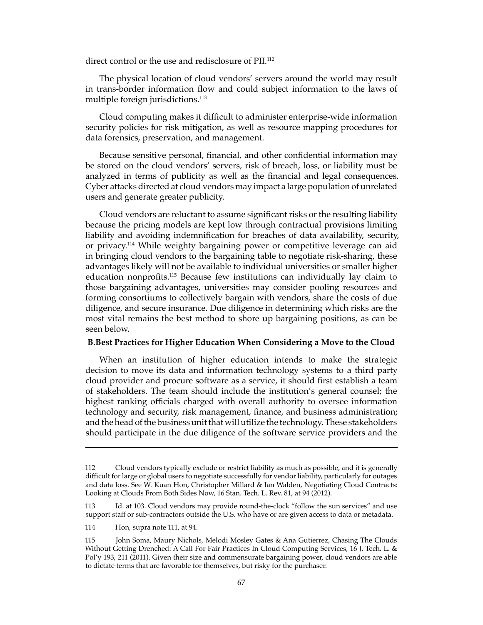direct control or the use and redisclosure of PII.<sup>112</sup>

The physical location of cloud vendors' servers around the world may result in trans-border information flow and could subject information to the laws of multiple foreign jurisdictions.<sup>113</sup>

Cloud computing makes it difficult to administer enterprise-wide information security policies for risk mitigation, as well as resource mapping procedures for data forensics, preservation, and management.

Because sensitive personal, financial, and other confidential information may be stored on the cloud vendors' servers, risk of breach, loss, or liability must be analyzed in terms of publicity as well as the financial and legal consequences. Cyber attacks directed at cloud vendors may impact a large population of unrelated users and generate greater publicity.

Cloud vendors are reluctant to assume significant risks or the resulting liability because the pricing models are kept low through contractual provisions limiting liability and avoiding indemnification for breaches of data availability, security, or privacy.114 While weighty bargaining power or competitive leverage can aid in bringing cloud vendors to the bargaining table to negotiate risk-sharing, these advantages likely will not be available to individual universities or smaller higher education nonprofits.115 Because few institutions can individually lay claim to those bargaining advantages, universities may consider pooling resources and forming consortiums to collectively bargain with vendors, share the costs of due diligence, and secure insurance. Due diligence in determining which risks are the most vital remains the best method to shore up bargaining positions, as can be seen below.

#### **B.Best Practices for Higher Education When Considering a Move to the Cloud**

When an institution of higher education intends to make the strategic decision to move its data and information technology systems to a third party cloud provider and procure software as a service, it should first establish a team of stakeholders. The team should include the institution's general counsel; the highest ranking officials charged with overall authority to oversee information technology and security, risk management, finance, and business administration; and the head of the business unit that will utilize the technology. These stakeholders should participate in the due diligence of the software service providers and the

<sup>112</sup> Cloud vendors typically exclude or restrict liability as much as possible, and it is generally difficult for large or global users to negotiate successfully for vendor liability, particularly for outages and data loss. See W. Kuan Hon, Christopher Millard & Ian Walden, Negotiating Cloud Contracts: Looking at Clouds From Both Sides Now, 16 Stan. Tech. L. Rev. 81, at 94 (2012).

<sup>113</sup> Id. at 103. Cloud vendors may provide round-the-clock "follow the sun services" and use support staff or sub-contractors outside the U.S. who have or are given access to data or metadata.

<sup>114</sup> Hon, supra note 111, at 94.

<sup>115</sup> John Soma, Maury Nichols, Melodi Mosley Gates & Ana Gutierrez, Chasing The Clouds Without Getting Drenched: A Call For Fair Practices In Cloud Computing Services, 16 J. Tech. L. & Pol'y 193, 211 (2011). Given their size and commensurate bargaining power, cloud vendors are able to dictate terms that are favorable for themselves, but risky for the purchaser.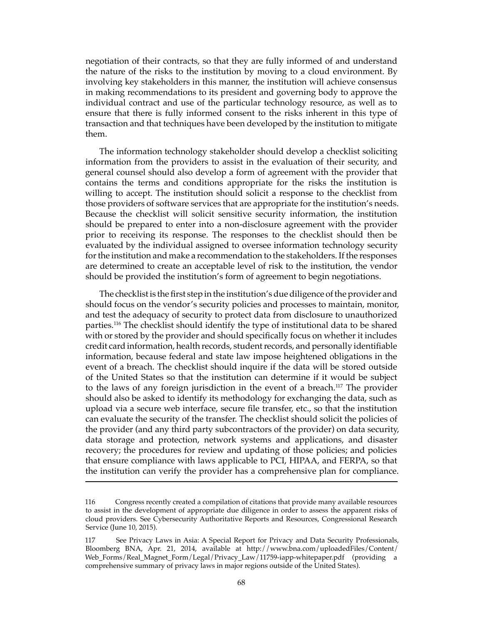negotiation of their contracts, so that they are fully informed of and understand the nature of the risks to the institution by moving to a cloud environment. By involving key stakeholders in this manner, the institution will achieve consensus in making recommendations to its president and governing body to approve the individual contract and use of the particular technology resource, as well as to ensure that there is fully informed consent to the risks inherent in this type of transaction and that techniques have been developed by the institution to mitigate them.

The information technology stakeholder should develop a checklist soliciting information from the providers to assist in the evaluation of their security, and general counsel should also develop a form of agreement with the provider that contains the terms and conditions appropriate for the risks the institution is willing to accept. The institution should solicit a response to the checklist from those providers of software services that are appropriate for the institution's needs. Because the checklist will solicit sensitive security information, the institution should be prepared to enter into a non-disclosure agreement with the provider prior to receiving its response. The responses to the checklist should then be evaluated by the individual assigned to oversee information technology security for the institution and make a recommendation to the stakeholders. If the responses are determined to create an acceptable level of risk to the institution, the vendor should be provided the institution's form of agreement to begin negotiations.

The checklist is the first step in the institution's due diligence of the provider and should focus on the vendor's security policies and processes to maintain, monitor, and test the adequacy of security to protect data from disclosure to unauthorized parties.<sup>116</sup> The checklist should identify the type of institutional data to be shared with or stored by the provider and should specifically focus on whether it includes credit card information, health records, student records, and personally identifiable information, because federal and state law impose heightened obligations in the event of a breach. The checklist should inquire if the data will be stored outside of the United States so that the institution can determine if it would be subject to the laws of any foreign jurisdiction in the event of a breach.<sup>117</sup> The provider should also be asked to identify its methodology for exchanging the data, such as upload via a secure web interface, secure file transfer, etc., so that the institution can evaluate the security of the transfer. The checklist should solicit the policies of the provider (and any third party subcontractors of the provider) on data security, data storage and protection, network systems and applications, and disaster recovery; the procedures for review and updating of those policies; and policies that ensure compliance with laws applicable to PCI, HIPAA, and FERPA, so that the institution can verify the provider has a comprehensive plan for compliance.

<sup>116</sup> Congress recently created a compilation of citations that provide many available resources to assist in the development of appropriate due diligence in order to assess the apparent risks of cloud providers. See Cybersecurity Authoritative Reports and Resources, Congressional Research Service (June 10, 2015).

<sup>117</sup> See Privacy Laws in Asia: A Special Report for Privacy and Data Security Professionals, Bloomberg BNA, Apr. 21, 2014, available at http://www.bna.com/uploadedFiles/Content/ Web\_Forms/Real\_Magnet\_Form/Legal/Privacy\_Law/11759-iapp-whitepaper.pdf (providing a comprehensive summary of privacy laws in major regions outside of the United States).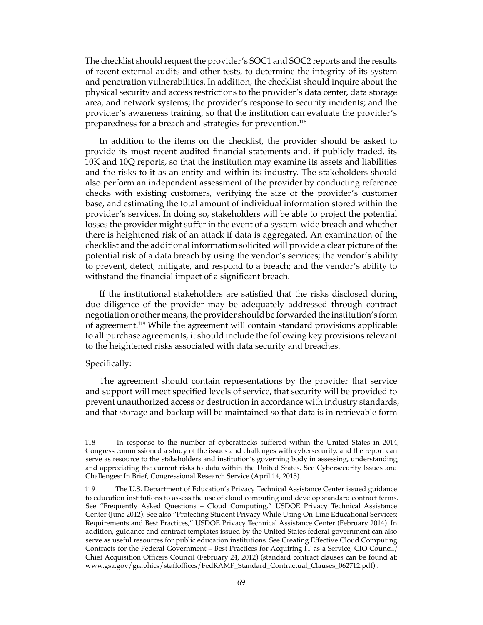The checklist should request the provider's SOC1 and SOC2 reports and the results of recent external audits and other tests, to determine the integrity of its system and penetration vulnerabilities. In addition, the checklist should inquire about the physical security and access restrictions to the provider's data center, data storage area, and network systems; the provider's response to security incidents; and the provider's awareness training, so that the institution can evaluate the provider's preparedness for a breach and strategies for prevention.<sup>118</sup>

In addition to the items on the checklist, the provider should be asked to provide its most recent audited financial statements and, if publicly traded, its 10K and 10Q reports, so that the institution may examine its assets and liabilities and the risks to it as an entity and within its industry. The stakeholders should also perform an independent assessment of the provider by conducting reference checks with existing customers, verifying the size of the provider's customer base, and estimating the total amount of individual information stored within the provider's services. In doing so, stakeholders will be able to project the potential losses the provider might suffer in the event of a system-wide breach and whether there is heightened risk of an attack if data is aggregated. An examination of the checklist and the additional information solicited will provide a clear picture of the potential risk of a data breach by using the vendor's services; the vendor's ability to prevent, detect, mitigate, and respond to a breach; and the vendor's ability to withstand the financial impact of a significant breach.

If the institutional stakeholders are satisfied that the risks disclosed during due diligence of the provider may be adequately addressed through contract negotiation or other means, the provider should be forwarded the institution's form of agreement.119 While the agreement will contain standard provisions applicable to all purchase agreements, it should include the following key provisions relevant to the heightened risks associated with data security and breaches.

#### Specifically:

The agreement should contain representations by the provider that service and support will meet specified levels of service, that security will be provided to prevent unauthorized access or destruction in accordance with industry standards, and that storage and backup will be maintained so that data is in retrievable form

<sup>118</sup> In response to the number of cyberattacks suffered within the United States in 2014, Congress commissioned a study of the issues and challenges with cybersecurity, and the report can serve as resource to the stakeholders and institution's governing body in assessing, understanding, and appreciating the current risks to data within the United States. See Cybersecurity Issues and Challenges: In Brief, Congressional Research Service (April 14, 2015).

<sup>119</sup> The U.S. Department of Education's Privacy Technical Assistance Center issued guidance to education institutions to assess the use of cloud computing and develop standard contract terms. See "Frequently Asked Questions – Cloud Computing," USDOE Privacy Technical Assistance Center (June 2012). See also "Protecting Student Privacy While Using On-Line Educational Services: Requirements and Best Practices," USDOE Privacy Technical Assistance Center (February 2014). In addition, guidance and contract templates issued by the United States federal government can also serve as useful resources for public education institutions. See Creating Effective Cloud Computing Contracts for the Federal Government – Best Practices for Acquiring IT as a Service, CIO Council/ Chief Acquisition Officers Council (February 24, 2012) (standard contract clauses can be found at: www.gsa.gov/graphics/staffoffices/FedRAMP\_Standard\_Contractual\_Clauses\_062712.pdf) .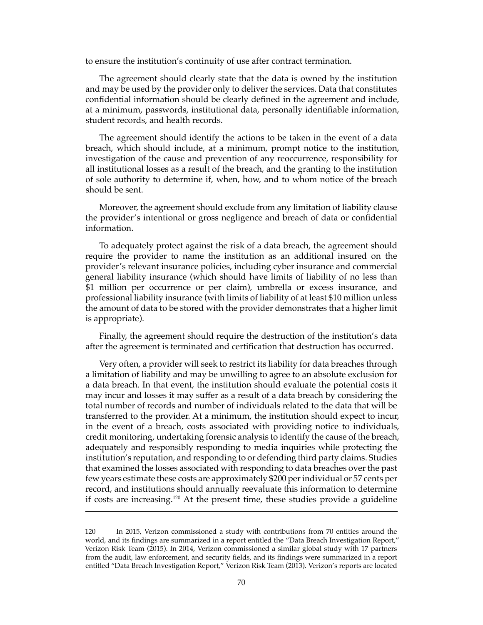to ensure the institution's continuity of use after contract termination.

The agreement should clearly state that the data is owned by the institution and may be used by the provider only to deliver the services. Data that constitutes confidential information should be clearly defined in the agreement and include, at a minimum, passwords, institutional data, personally identifiable information, student records, and health records.

The agreement should identify the actions to be taken in the event of a data breach, which should include, at a minimum, prompt notice to the institution, investigation of the cause and prevention of any reoccurrence, responsibility for all institutional losses as a result of the breach, and the granting to the institution of sole authority to determine if, when, how, and to whom notice of the breach should be sent.

Moreover, the agreement should exclude from any limitation of liability clause the provider's intentional or gross negligence and breach of data or confidential information.

To adequately protect against the risk of a data breach, the agreement should require the provider to name the institution as an additional insured on the provider's relevant insurance policies, including cyber insurance and commercial general liability insurance (which should have limits of liability of no less than \$1 million per occurrence or per claim), umbrella or excess insurance, and professional liability insurance (with limits of liability of at least \$10 million unless the amount of data to be stored with the provider demonstrates that a higher limit is appropriate).

Finally, the agreement should require the destruction of the institution's data after the agreement is terminated and certification that destruction has occurred.

Very often, a provider will seek to restrict its liability for data breaches through a limitation of liability and may be unwilling to agree to an absolute exclusion for a data breach. In that event, the institution should evaluate the potential costs it may incur and losses it may suffer as a result of a data breach by considering the total number of records and number of individuals related to the data that will be transferred to the provider. At a minimum, the institution should expect to incur, in the event of a breach, costs associated with providing notice to individuals, credit monitoring, undertaking forensic analysis to identify the cause of the breach, adequately and responsibly responding to media inquiries while protecting the institution's reputation, and responding to or defending third party claims. Studies that examined the losses associated with responding to data breaches over the past few years estimate these costs are approximately \$200 per individual or 57 cents per record, and institutions should annually reevaluate this information to determine if costs are increasing.120 At the present time, these studies provide a guideline

<sup>120</sup> In 2015, Verizon commissioned a study with contributions from 70 entities around the world, and its findings are summarized in a report entitled the "Data Breach Investigation Report," Verizon Risk Team (2015). In 2014, Verizon commissioned a similar global study with 17 partners from the audit, law enforcement, and security fields, and its findings were summarized in a report entitled "Data Breach Investigation Report," Verizon Risk Team (2013). Verizon's reports are located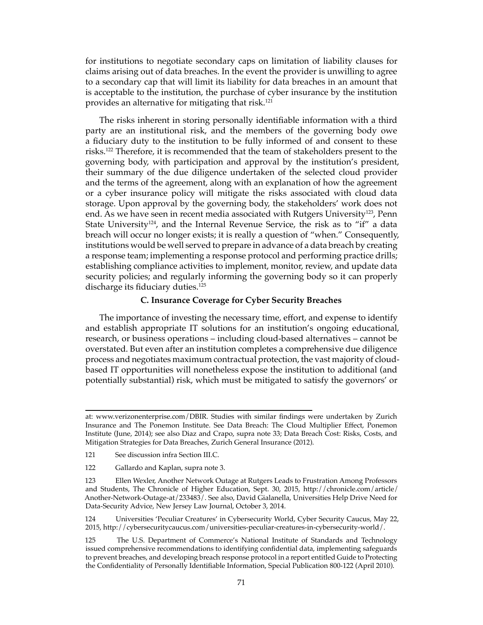for institutions to negotiate secondary caps on limitation of liability clauses for claims arising out of data breaches. In the event the provider is unwilling to agree to a secondary cap that will limit its liability for data breaches in an amount that is acceptable to the institution, the purchase of cyber insurance by the institution provides an alternative for mitigating that risk.121

The risks inherent in storing personally identifiable information with a third party are an institutional risk, and the members of the governing body owe a fiduciary duty to the institution to be fully informed of and consent to these risks.122 Therefore, it is recommended that the team of stakeholders present to the governing body, with participation and approval by the institution's president, their summary of the due diligence undertaken of the selected cloud provider and the terms of the agreement, along with an explanation of how the agreement or a cyber insurance policy will mitigate the risks associated with cloud data storage. Upon approval by the governing body, the stakeholders' work does not end. As we have seen in recent media associated with Rutgers University<sup>123</sup>, Penn State University<sup>124</sup>, and the Internal Revenue Service, the risk as to "if" a data breach will occur no longer exists; it is really a question of "when." Consequently, institutions would be well served to prepare in advance of a data breach by creating a response team; implementing a response protocol and performing practice drills; establishing compliance activities to implement, monitor, review, and update data security policies; and regularly informing the governing body so it can properly discharge its fiduciary duties.<sup>125</sup>

## **C. Insurance Coverage for Cyber Security Breaches**

The importance of investing the necessary time, effort, and expense to identify and establish appropriate IT solutions for an institution's ongoing educational, research, or business operations – including cloud-based alternatives – cannot be overstated. But even after an institution completes a comprehensive due diligence process and negotiates maximum contractual protection, the vast majority of cloudbased IT opportunities will nonetheless expose the institution to additional (and potentially substantial) risk, which must be mitigated to satisfy the governors' or

at: www.verizonenterprise.com/DBIR. Studies with similar findings were undertaken by Zurich Insurance and The Ponemon Institute. See Data Breach: The Cloud Multiplier Effect, Ponemon Institute (June, 2014); see also Diaz and Crapo, supra note 33; Data Breach Cost: Risks, Costs, and Mitigation Strategies for Data Breaches, Zurich General Insurance (2012).

<sup>121</sup> See discussion infra Section III.C.

<sup>122</sup> Gallardo and Kaplan, supra note 3.

<sup>123</sup> Ellen Wexler, Another Network Outage at Rutgers Leads to Frustration Among Professors and Students, The Chronicle of Higher Education, Sept. 30, 2015, http://chronicle.com/article/ Another-Network-Outage-at/233483/. See also, David Gialanella, Universities Help Drive Need for Data-Security Advice, New Jersey Law Journal, October 3, 2014.

<sup>124</sup> Universities 'Peculiar Creatures' in Cybersecurity World, Cyber Security Caucus, May 22, 2015, http://cybersecuritycaucus.com/universities-peculiar-creatures-in-cybersecurity-world/.

<sup>125</sup> The U.S. Department of Commerce's National Institute of Standards and Technology issued comprehensive recommendations to identifying confidential data, implementing safeguards to prevent breaches, and developing breach response protocol in a report entitled Guide to Protecting the Confidentiality of Personally Identifiable Information, Special Publication 800-122 (April 2010).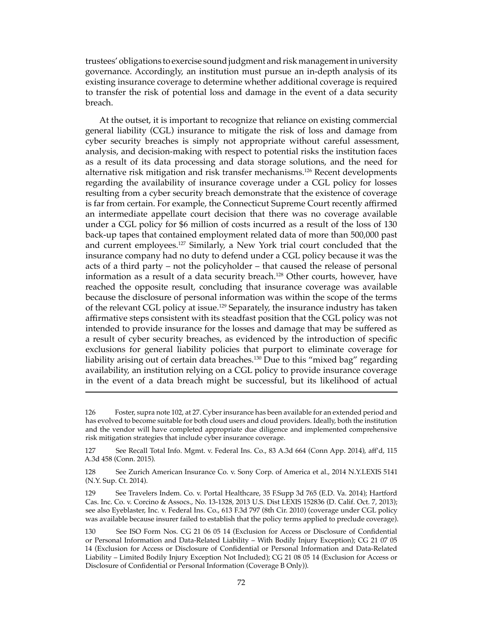trustees' obligations to exercise sound judgment and risk management in university governance. Accordingly, an institution must pursue an in-depth analysis of its existing insurance coverage to determine whether additional coverage is required to transfer the risk of potential loss and damage in the event of a data security breach.

At the outset, it is important to recognize that reliance on existing commercial general liability (CGL) insurance to mitigate the risk of loss and damage from cyber security breaches is simply not appropriate without careful assessment, analysis, and decision-making with respect to potential risks the institution faces as a result of its data processing and data storage solutions, and the need for alternative risk mitigation and risk transfer mechanisms.<sup>126</sup> Recent developments regarding the availability of insurance coverage under a CGL policy for losses resulting from a cyber security breach demonstrate that the existence of coverage is far from certain. For example, the Connecticut Supreme Court recently affirmed an intermediate appellate court decision that there was no coverage available under a CGL policy for \$6 million of costs incurred as a result of the loss of 130 back-up tapes that contained employment related data of more than 500,000 past and current employees.127 Similarly, a New York trial court concluded that the insurance company had no duty to defend under a CGL policy because it was the acts of a third party – not the policyholder – that caused the release of personal information as a result of a data security breach.128 Other courts, however, have reached the opposite result, concluding that insurance coverage was available because the disclosure of personal information was within the scope of the terms of the relevant CGL policy at issue.<sup>129</sup> Separately, the insurance industry has taken affirmative steps consistent with its steadfast position that the CGL policy was not intended to provide insurance for the losses and damage that may be suffered as a result of cyber security breaches, as evidenced by the introduction of specific exclusions for general liability policies that purport to eliminate coverage for liability arising out of certain data breaches.<sup>130</sup> Due to this "mixed bag" regarding availability, an institution relying on a CGL policy to provide insurance coverage in the event of a data breach might be successful, but its likelihood of actual

<sup>126</sup> Foster, supra note 102, at 27. Cyber insurance has been available for an extended period and has evolved to become suitable for both cloud users and cloud providers. Ideally, both the institution and the vendor will have completed appropriate due diligence and implemented comprehensive risk mitigation strategies that include cyber insurance coverage.

<sup>127</sup> See Recall Total Info. Mgmt. v. Federal Ins. Co., 83 A.3d 664 (Conn App. 2014), aff'd, 115 A.3d 458 (Conn. 2015).

<sup>128</sup> See Zurich American Insurance Co. v. Sony Corp. of America et al., 2014 N.Y.LEXIS 5141 (N.Y. Sup. Ct. 2014).

<sup>129</sup> See Travelers Indem. Co. v. Portal Healthcare, 35 F.Supp 3d 765 (E.D. Va. 2014); Hartford Cas. Inc. Co. v. Corcino & Assocs., No. 13-1328, 2013 U.S. Dist LEXIS 152836 (D. Calif. Oct. 7, 2013); see also Eyeblaster, Inc. v. Federal Ins. Co., 613 F.3d 797 (8th Cir. 2010) (coverage under CGL policy was available because insurer failed to establish that the policy terms applied to preclude coverage).

<sup>130</sup> See ISO Form Nos. CG 21 06 05 14 (Exclusion for Access or Disclosure of Confidential or Personal Information and Data-Related Liability – With Bodily Injury Exception); CG 21 07 05 14 (Exclusion for Access or Disclosure of Confidential or Personal Information and Data-Related Liability – Limited Bodily Injury Exception Not Included); CG 21 08 05 14 (Exclusion for Access or Disclosure of Confidential or Personal Information (Coverage B Only)).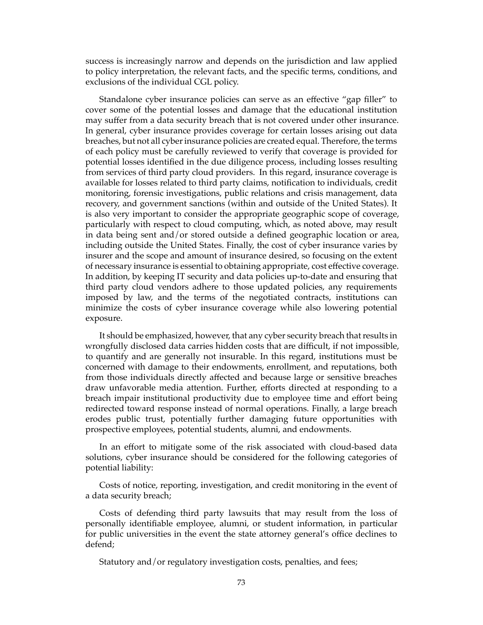success is increasingly narrow and depends on the jurisdiction and law applied to policy interpretation, the relevant facts, and the specific terms, conditions, and exclusions of the individual CGL policy.

Standalone cyber insurance policies can serve as an effective "gap filler" to cover some of the potential losses and damage that the educational institution may suffer from a data security breach that is not covered under other insurance. In general, cyber insurance provides coverage for certain losses arising out data breaches, but not all cyber insurance policies are created equal. Therefore, the terms of each policy must be carefully reviewed to verify that coverage is provided for potential losses identified in the due diligence process, including losses resulting from services of third party cloud providers. In this regard, insurance coverage is available for losses related to third party claims, notification to individuals, credit monitoring, forensic investigations, public relations and crisis management, data recovery, and government sanctions (within and outside of the United States). It is also very important to consider the appropriate geographic scope of coverage, particularly with respect to cloud computing, which, as noted above, may result in data being sent and/or stored outside a defined geographic location or area, including outside the United States. Finally, the cost of cyber insurance varies by insurer and the scope and amount of insurance desired, so focusing on the extent of necessary insurance is essential to obtaining appropriate, cost effective coverage. In addition, by keeping IT security and data policies up-to-date and ensuring that third party cloud vendors adhere to those updated policies, any requirements imposed by law, and the terms of the negotiated contracts, institutions can minimize the costs of cyber insurance coverage while also lowering potential exposure.

It should be emphasized, however, that any cyber security breach that results in wrongfully disclosed data carries hidden costs that are difficult, if not impossible, to quantify and are generally not insurable. In this regard, institutions must be concerned with damage to their endowments, enrollment, and reputations, both from those individuals directly affected and because large or sensitive breaches draw unfavorable media attention. Further, efforts directed at responding to a breach impair institutional productivity due to employee time and effort being redirected toward response instead of normal operations. Finally, a large breach erodes public trust, potentially further damaging future opportunities with prospective employees, potential students, alumni, and endowments.

In an effort to mitigate some of the risk associated with cloud-based data solutions, cyber insurance should be considered for the following categories of potential liability:

Costs of notice, reporting, investigation, and credit monitoring in the event of a data security breach;

Costs of defending third party lawsuits that may result from the loss of personally identifiable employee, alumni, or student information, in particular for public universities in the event the state attorney general's office declines to defend;

Statutory and/or regulatory investigation costs, penalties, and fees;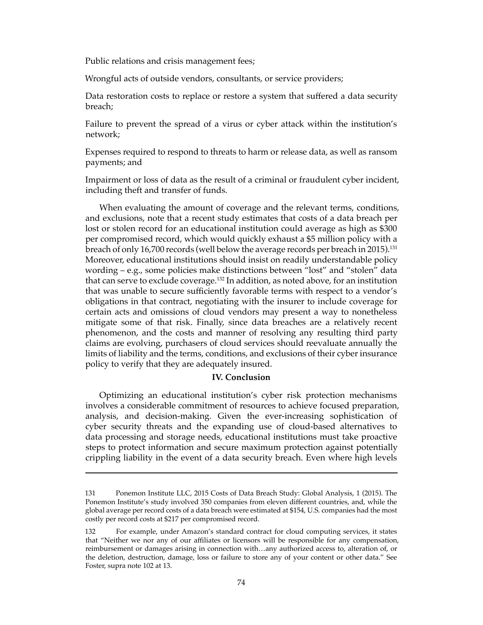Public relations and crisis management fees;

Wrongful acts of outside vendors, consultants, or service providers;

Data restoration costs to replace or restore a system that suffered a data security breach;

Failure to prevent the spread of a virus or cyber attack within the institution's network;

Expenses required to respond to threats to harm or release data, as well as ransom payments; and

Impairment or loss of data as the result of a criminal or fraudulent cyber incident, including theft and transfer of funds.

When evaluating the amount of coverage and the relevant terms, conditions, and exclusions, note that a recent study estimates that costs of a data breach per lost or stolen record for an educational institution could average as high as \$300 per compromised record, which would quickly exhaust a \$5 million policy with a breach of only 16,700 records (well below the average records per breach in 2015).<sup>131</sup> Moreover, educational institutions should insist on readily understandable policy wording – e.g., some policies make distinctions between "lost" and "stolen" data that can serve to exclude coverage.<sup>132</sup> In addition, as noted above, for an institution that was unable to secure sufficiently favorable terms with respect to a vendor's obligations in that contract, negotiating with the insurer to include coverage for certain acts and omissions of cloud vendors may present a way to nonetheless mitigate some of that risk. Finally, since data breaches are a relatively recent phenomenon, and the costs and manner of resolving any resulting third party claims are evolving, purchasers of cloud services should reevaluate annually the limits of liability and the terms, conditions, and exclusions of their cyber insurance policy to verify that they are adequately insured.

## **IV. Conclusion**

Optimizing an educational institution's cyber risk protection mechanisms involves a considerable commitment of resources to achieve focused preparation, analysis, and decision-making. Given the ever-increasing sophistication of cyber security threats and the expanding use of cloud-based alternatives to data processing and storage needs, educational institutions must take proactive steps to protect information and secure maximum protection against potentially crippling liability in the event of a data security breach. Even where high levels

<sup>131</sup> Ponemon Institute LLC, 2015 Costs of Data Breach Study: Global Analysis, 1 (2015). The Ponemon Institute's study involved 350 companies from eleven different countries, and, while the global average per record costs of a data breach were estimated at \$154, U.S. companies had the most costly per record costs at \$217 per compromised record.

<sup>132</sup> For example, under Amazon's standard contract for cloud computing services, it states that "Neither we nor any of our affiliates or licensors will be responsible for any compensation, reimbursement or damages arising in connection with…any authorized access to, alteration of, or the deletion, destruction, damage, loss or failure to store any of your content or other data." See Foster, supra note 102 at 13.